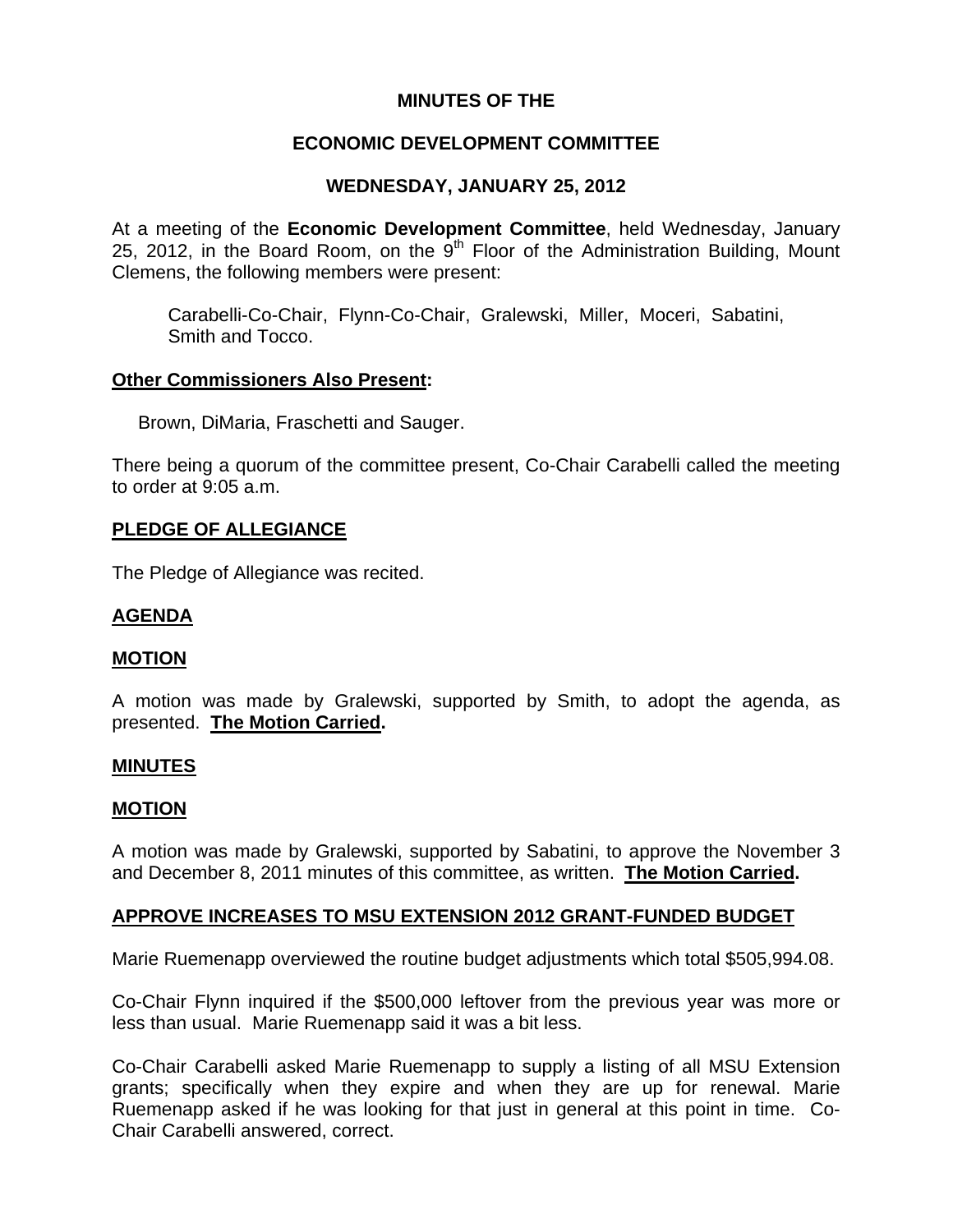## **MINUTES OF THE**

## **ECONOMIC DEVELOPMENT COMMITTEE**

# **WEDNESDAY, JANUARY 25, 2012**

At a meeting of the **Economic Development Committee**, held Wednesday, January 25, 2012, in the Board Room, on the  $9<sup>th</sup>$  Floor of the Administration Building, Mount Clemens, the following members were present:

Carabelli-Co-Chair, Flynn-Co-Chair, Gralewski, Miller, Moceri, Sabatini, Smith and Tocco.

## **Other Commissioners Also Present:**

Brown, DiMaria, Fraschetti and Sauger.

There being a quorum of the committee present, Co-Chair Carabelli called the meeting to order at 9:05 a.m.

## **PLEDGE OF ALLEGIANCE**

The Pledge of Allegiance was recited.

# **AGENDA**

### **MOTION**

A motion was made by Gralewski, supported by Smith, to adopt the agenda, as presented. **The Motion Carried.** 

### **MINUTES**

### **MOTION**

A motion was made by Gralewski, supported by Sabatini, to approve the November 3 and December 8, 2011 minutes of this committee, as written. **The Motion Carried.** 

### **APPROVE INCREASES TO MSU EXTENSION 2012 GRANT-FUNDED BUDGET**

Marie Ruemenapp overviewed the routine budget adjustments which total \$505,994.08.

Co-Chair Flynn inquired if the \$500,000 leftover from the previous year was more or less than usual. Marie Ruemenapp said it was a bit less.

Co-Chair Carabelli asked Marie Ruemenapp to supply a listing of all MSU Extension grants; specifically when they expire and when they are up for renewal. Marie Ruemenapp asked if he was looking for that just in general at this point in time. Co-Chair Carabelli answered, correct.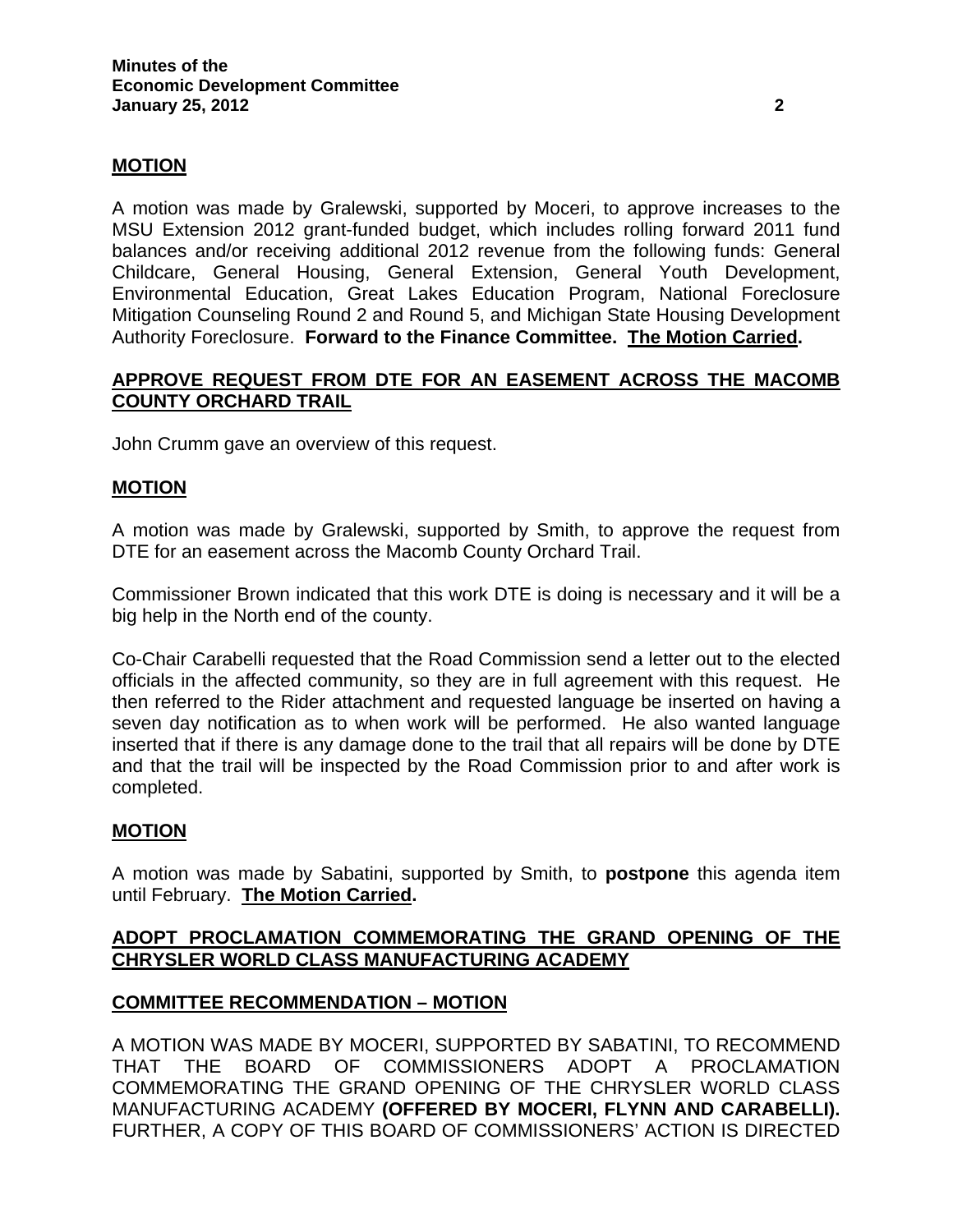## **MOTION**

A motion was made by Gralewski, supported by Moceri, to approve increases to the MSU Extension 2012 grant-funded budget, which includes rolling forward 2011 fund balances and/or receiving additional 2012 revenue from the following funds: General Childcare, General Housing, General Extension, General Youth Development, Environmental Education, Great Lakes Education Program, National Foreclosure Mitigation Counseling Round 2 and Round 5, and Michigan State Housing Development Authority Foreclosure. **Forward to the Finance Committee. The Motion Carried.** 

## **APPROVE REQUEST FROM DTE FOR AN EASEMENT ACROSS THE MACOMB COUNTY ORCHARD TRAIL**

John Crumm gave an overview of this request.

### **MOTION**

A motion was made by Gralewski, supported by Smith, to approve the request from DTE for an easement across the Macomb County Orchard Trail.

Commissioner Brown indicated that this work DTE is doing is necessary and it will be a big help in the North end of the county.

Co-Chair Carabelli requested that the Road Commission send a letter out to the elected officials in the affected community, so they are in full agreement with this request. He then referred to the Rider attachment and requested language be inserted on having a seven day notification as to when work will be performed. He also wanted language inserted that if there is any damage done to the trail that all repairs will be done by DTE and that the trail will be inspected by the Road Commission prior to and after work is completed.

### **MOTION**

A motion was made by Sabatini, supported by Smith, to **postpone** this agenda item until February. **The Motion Carried.** 

## **ADOPT PROCLAMATION COMMEMORATING THE GRAND OPENING OF THE CHRYSLER WORLD CLASS MANUFACTURING ACADEMY**

### **COMMITTEE RECOMMENDATION – MOTION**

A MOTION WAS MADE BY MOCERI, SUPPORTED BY SABATINI, TO RECOMMEND THAT THE BOARD OF COMMISSIONERS ADOPT A PROCLAMATION COMMEMORATING THE GRAND OPENING OF THE CHRYSLER WORLD CLASS MANUFACTURING ACADEMY **(OFFERED BY MOCERI, FLYNN AND CARABELLI).**  FURTHER, A COPY OF THIS BOARD OF COMMISSIONERS' ACTION IS DIRECTED